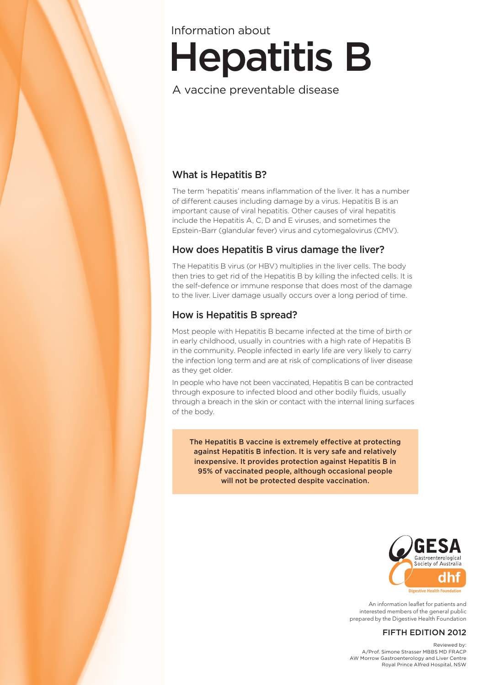# Hepatitis B Information about

# A vaccine preventable disease

# What is Hepatitis B?

The term 'hepatitis' means inflammation of the liver. It has a number of different causes including damage by a virus. Hepatitis B is an important cause of viral hepatitis. Other causes of viral hepatitis include the Hepatitis A, C, D and E viruses, and sometimes the Epstein-Barr (glandular fever) virus and cytomegalovirus (CMV).

## How does Hepatitis B virus damage the liver?

The Hepatitis B virus (or HBV) multiplies in the liver cells. The body then tries to get rid of the Hepatitis B by killing the infected cells. It is the self-defence or immune response that does most of the damage to the liver. Liver damage usually occurs over a long period of time.

# How is Hepatitis B spread?

Most people with Hepatitis B became infected at the time of birth or in early childhood, usually in countries with a high rate of Hepatitis B in the community. People infected in early life are very likely to carry the infection long term and are at risk of complications of liver disease as they get older.

In people who have not been vaccinated, Hepatitis B can be contracted through exposure to infected blood and other bodily fluids, usually through a breach in the skin or contact with the internal lining surfaces of the body.

The Hepatitis B vaccine is extremely effective at protecting against Hepatitis B infection. It is very safe and relatively inexpensive. It provides protection against Hepatitis B in 95% of vaccinated people, although occasional people will not be protected despite vaccination.



An information leaflet for patients and interested members of the general public prepared by the Digestive Health Foundation

#### FIFTH EDITION 2012

Reviewed by: A/Prof. Simone Strasser MBBS MD FRACP AW Morrow Gastroenterology and Liver Centre Royal Prince Alfred Hospital, NSW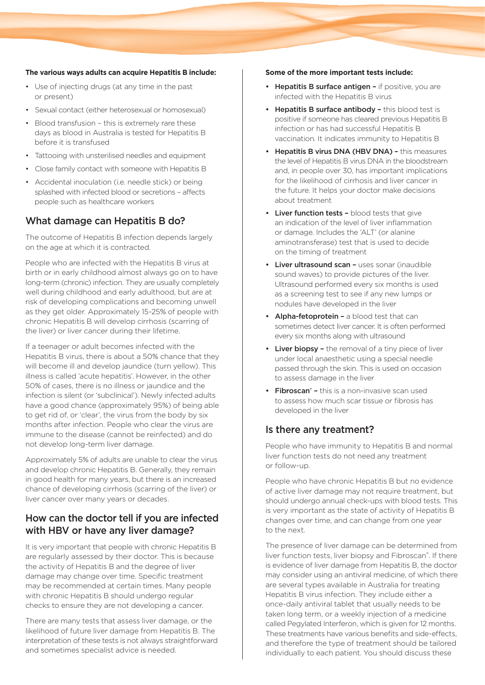#### **The various ways adults can acquire Hepatitis B include:**

- Use of injecting drugs (at any time in the past or present)
- Sexual contact (either heterosexual or homosexual)
- Blood transfusion this is extremely rare these days as blood in Australia is tested for Hepatitis B before it is transfused
- Tattooing with unsterilised needles and equipment
- Close family contact with someone with Hepatitis B
- Accidental inoculation (i.e. needle stick) or being splashed with infected blood or secretions – affects people such as healthcare workers

## What damage can Hepatitis B do?

The outcome of Hepatitis B infection depends largely on the age at which it is contracted.

People who are infected with the Hepatitis B virus at birth or in early childhood almost always go on to have long-term (chronic) infection. They are usually completely well during childhood and early adulthood, but are at risk of developing complications and becoming unwell as they get older. Approximately 15-25% of people with chronic Hepatitis B will develop cirrhosis (scarring of the liver) or liver cancer during their lifetime.

If a teenager or adult becomes infected with the Hepatitis B virus, there is about a 50% chance that they will become ill and develop jaundice (turn yellow). This illness is called 'acute hepatitis'. However, in the other 50% of cases, there is no illness or jaundice and the infection is silent (or 'subclinical'). Newly infected adults have a good chance (approximately 95%) of being able to get rid of, or 'clear', the virus from the body by six months after infection. People who clear the virus are immune to the disease (cannot be reinfected) and do not develop long-term liver damage.

Approximately 5% of adults are unable to clear the virus and develop chronic Hepatitis B. Generally, they remain in good health for many years, but there is an increased chance of developing cirrhosis (scarring of the liver) or liver cancer over many years or decades.

## How can the doctor tell if you are infected with HBV or have any liver damage?

It is very important that people with chronic Hepatitis B are regularly assessed by their doctor. This is because the activity of Hepatitis B and the degree of liver damage may change over time. Specific treatment may be recommended at certain times. Many people with chronic Hepatitis B should undergo regular checks to ensure they are not developing a cancer.

There are many tests that assess liver damage, or the likelihood of future liver damage from Hepatitis B. The interpretation of these tests is not always straightforward and sometimes specialist advice is needed.

#### **Some of the more important tests include:**

- Hepatitis B surface antigen if positive, you are infected with the Hepatitis B virus
- Hepatitis B surface antibody this blood test is positive if someone has cleared previous Hepatitis B infection or has had successful Hepatitis B vaccination. It indicates immunity to Hepatitis B
- Hepatitis B virus DNA (HBV DNA) this measures the level of Hepatitis B virus DNA in the bloodstream and, in people over 30, has important implications for the likelihood of cirrhosis and liver cancer in the future. It helps your doctor make decisions about treatment
- Liver function tests blood tests that give an indication of the level of liver inflammation or damage. Includes the 'ALT' (or alanine aminotransferase) test that is used to decide on the timing of treatment
- Liver ultrasound scan uses sonar (inaudible sound waves) to provide pictures of the liver. Ultrasound performed every six months is used as a screening test to see if any new lumps or nodules have developed in the liver
- Alpha-fetoprotein a blood test that can sometimes detect liver cancer. It is often performed every six months along with ultrasound
- Liver biopsy the removal of a tiny piece of liver under local anaesthetic using a special needle passed through the skin. This is used on occasion to assess damage in the liver
- Fibroscan<sup>®</sup> this is a non-invasive scan used to assess how much scar tissue or fibrosis has developed in the liver

#### Is there any treatment?

People who have immunity to Hepatitis B and normal liver function tests do not need any treatment or follow-up.

People who have chronic Hepatitis B but no evidence of active liver damage may not require treatment, but should undergo annual check-ups with blood tests. This is very important as the state of activity of Hepatitis B changes over time, and can change from one year to the next.

The presence of liver damage can be determined from liver function tests, liver biopsy and Fibroscan®. If there is evidence of liver damage from Hepatitis B, the doctor may consider using an antiviral medicine, of which there are several types available in Australia for treating Hepatitis B virus infection. They include either a once-daily antiviral tablet that usually needs to be taken long term, or a weekly injection of a medicine called Pegylated Interferon, which is given for 12 months. These treatments have various benefits and side-effects, and therefore the type of treatment should be tailored individually to each patient. You should discuss these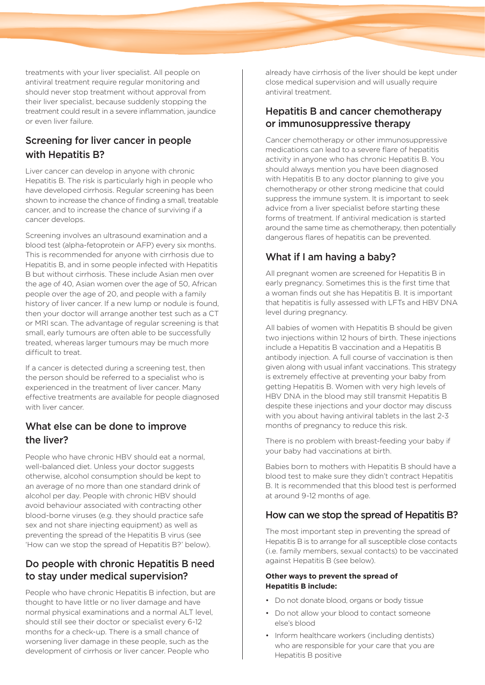treatments with your liver specialist. All people on antiviral treatment require regular monitoring and should never stop treatment without approval from their liver specialist, because suddenly stopping the treatment could result in a severe inflammation, jaundice or even liver failure.

# Screening for liver cancer in people with Hepatitis B?

Liver cancer can develop in anyone with chronic Hepatitis B. The risk is particularly high in people who have developed cirrhosis. Regular screening has been shown to increase the chance of finding a small, treatable cancer, and to increase the chance of surviving if a cancer develops.

Screening involves an ultrasound examination and a blood test (alpha-fetoprotein or AFP) every six months. This is recommended for anyone with cirrhosis due to Hepatitis B, and in some people infected with Hepatitis B but without cirrhosis. These include Asian men over the age of 40, Asian women over the age of 50, African people over the age of 20, and people with a family history of liver cancer. If a new lump or nodule is found, then your doctor will arrange another test such as a CT or MRI scan. The advantage of regular screening is that small, early tumours are often able to be successfully treated, whereas larger tumours may be much more difficult to treat.

If a cancer is detected during a screening test, then the person should be referred to a specialist who is experienced in the treatment of liver cancer. Many effective treatments are available for people diagnosed with liver cancer.

# What else can be done to improve the liver?

People who have chronic HBV should eat a normal, well-balanced diet. Unless your doctor suggests otherwise, alcohol consumption should be kept to an average of no more than one standard drink of alcohol per day. People with chronic HBV should avoid behaviour associated with contracting other blood-borne viruses (e.g. they should practice safe sex and not share injecting equipment) as well as preventing the spread of the Hepatitis B virus (see 'How can we stop the spread of Hepatitis B?' below).

## Do people with chronic Hepatitis B need to stay under medical supervision?

People who have chronic Hepatitis B infection, but are thought to have little or no liver damage and have normal physical examinations and a normal ALT level, should still see their doctor or specialist every 6-12 months for a check-up. There is a small chance of worsening liver damage in these people, such as the development of cirrhosis or liver cancer. People who

already have cirrhosis of the liver should be kept under close medical supervision and will usually require antiviral treatment.

#### Hepatitis B and cancer chemotherapy or immunosuppressive therapy

Cancer chemotherapy or other immunosuppressive medications can lead to a severe flare of hepatitis activity in anyone who has chronic Hepatitis B. You should always mention you have been diagnosed with Hepatitis B to any doctor planning to give you chemotherapy or other strong medicine that could suppress the immune system. It is important to seek advice from a liver specialist before starting these forms of treatment. If antiviral medication is started around the same time as chemotherapy, then potentially dangerous flares of hepatitis can be prevented.

# What if I am having a baby?

All pregnant women are screened for Hepatitis B in early pregnancy. Sometimes this is the first time that a woman finds out she has Hepatitis B. It is important that hepatitis is fully assessed with LFTs and HBV DNA level during pregnancy.

All babies of women with Hepatitis B should be given two injections within 12 hours of birth. These injections include a Hepatitis B vaccination and a Hepatitis B antibody injection. A full course of vaccination is then given along with usual infant vaccinations. This strategy is extremely effective at preventing your baby from getting Hepatitis B. Women with very high levels of HBV DNA in the blood may still transmit Hepatitis B despite these injections and your doctor may discuss with you about having antiviral tablets in the last 2-3 months of pregnancy to reduce this risk.

There is no problem with breast-feeding your baby if your baby had vaccinations at birth.

Babies born to mothers with Hepatitis B should have a blood test to make sure they didn't contract Hepatitis B. It is recommended that this blood test is performed at around 9-12 months of age.

## How can we stop the spread of Hepatitis B?

The most important step in preventing the spread of Hepatitis B is to arrange for all susceptible close contacts (i.e. family members, sexual contacts) to be vaccinated against Hepatitis B (see below).

#### **Other ways to prevent the spread of Hepatitis B include:**

- Do not donate blood, organs or body tissue
- Do not allow your blood to contact someone else's blood
- Inform healthcare workers (including dentists) who are responsible for your care that you are Hepatitis B positive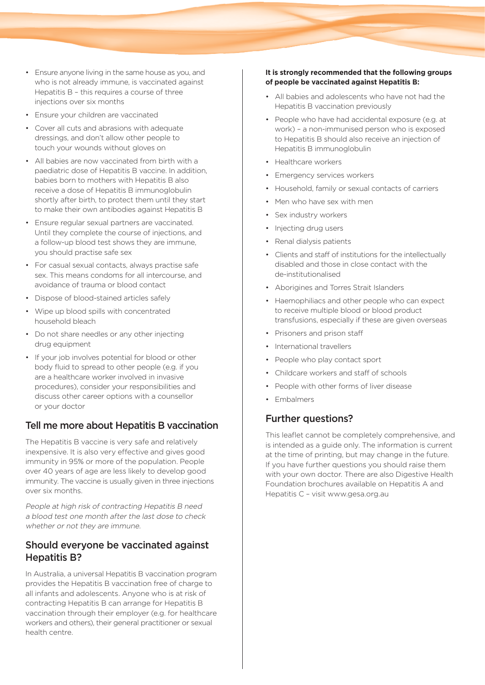- Ensure anyone living in the same house as you, and who is not already immune, is vaccinated against Hepatitis B – this requires a course of three injections over six months
- Ensure your children are vaccinated
- Cover all cuts and abrasions with adequate dressings, and don't allow other people to touch your wounds without gloves on
- All babies are now vaccinated from birth with a paediatric dose of Hepatitis B vaccine. In addition, babies born to mothers with Hepatitis B also receive a dose of Hepatitis B immunoglobulin shortly after birth, to protect them until they start to make their own antibodies against Hepatitis B
- Ensure regular sexual partners are vaccinated. Until they complete the course of injections, and a follow-up blood test shows they are immune, you should practise safe sex
- For casual sexual contacts, always practise safe sex. This means condoms for all intercourse, and avoidance of trauma or blood contact
- Dispose of blood-stained articles safely
- Wipe up blood spills with concentrated household bleach
- Do not share needles or any other injecting drug equipment
- If your job involves potential for blood or other body fluid to spread to other people (e.g. if you are a healthcare worker involved in invasive procedures), consider your responsibilities and discuss other career options with a counsellor or your doctor

## Tell me more about Hepatitis B vaccination

The Hepatitis B vaccine is very safe and relatively inexpensive. It is also very effective and gives good immunity in 95% or more of the population. People over 40 years of age are less likely to develop good immunity. The vaccine is usually given in three injections over six months.

People at high risk of contracting Hepatitis B need a blood test one month after the last dose to check whether or not they are immune.

#### Should everyone be vaccinated against Hepatitis B?

In Australia, a universal Hepatitis B vaccination program provides the Hepatitis B vaccination free of charge to all infants and adolescents. Anyone who is at risk of contracting Hepatitis B can arrange for Hepatitis B vaccination through their employer (e.g. for healthcare workers and others), their general practitioner or sexual health centre.

#### **It is strongly recommended that the following groups of people be vaccinated against Hepatitis B:**

- All babies and adolescents who have not had the Hepatitis B vaccination previously
- People who have had accidental exposure (e.g. at work) – a non-immunised person who is exposed to Hepatitis B should also receive an injection of Hepatitis B immunoglobulin
- Healthcare workers
- Emergency services workers
- Household, family or sexual contacts of carriers
- Men who have sex with men
- Sex industry workers
- Injecting drug users
- Renal dialysis patients
- Clients and staff of institutions for the intellectually disabled and those in close contact with the de-institutionalised
- Aborigines and Torres Strait Islanders
- Haemophiliacs and other people who can expect to receive multiple blood or blood product transfusions, especially if these are given overseas
- Prisoners and prison staff
- International travellers
- People who play contact sport
- Childcare workers and staff of schools
- People with other forms of liver disease
- Embalmers

## Further questions?

This leaflet cannot be completely comprehensive, and is intended as a guide only. The information is current at the time of printing, but may change in the future. If you have further questions you should raise them with your own doctor. There are also Digestive Health Foundation brochures available on Hepatitis A and Hepatitis C – visit www.gesa.org.au